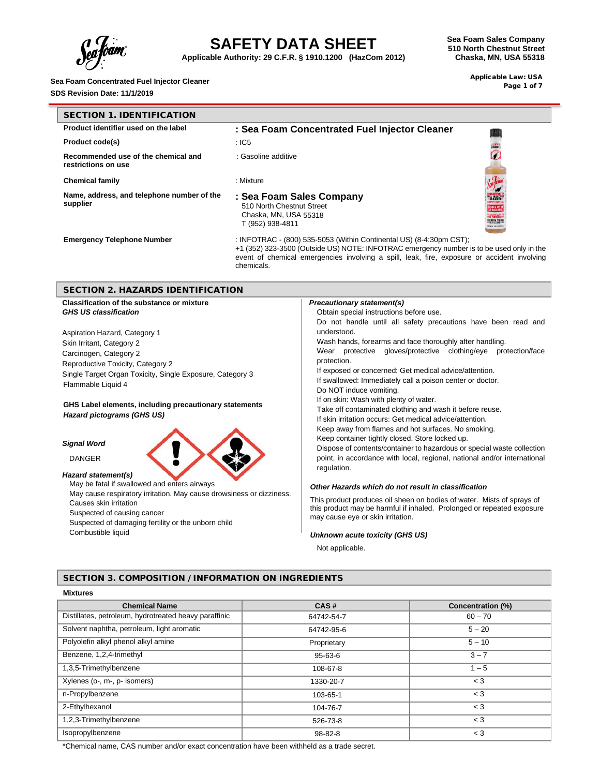

**Applicable Authority: 29 C.F.R. § 1910.1200 (HazCom 2012)**

**Sea Foam Sales Company 510 North Chestnut Street Chaska, MN, USA 55318**

> Applicable Law: USA Page 1 of 7

| Sea Foam Concentrated Fuel Injector Cleaner |  |
|---------------------------------------------|--|
| $\mathbf{a}$                                |  |

**SDS Revision Date: 11/1/2019**

| <b>SECTION 1. IDENTIFICATION</b>                           |                                                                                                                                                                                                                                                                              |  |
|------------------------------------------------------------|------------------------------------------------------------------------------------------------------------------------------------------------------------------------------------------------------------------------------------------------------------------------------|--|
| Product identifier used on the label                       | : Sea Foam Concentrated Fuel Injector Cleaner                                                                                                                                                                                                                                |  |
| <b>Product code(s)</b>                                     | :IC5                                                                                                                                                                                                                                                                         |  |
| Recommended use of the chemical and<br>restrictions on use | : Gasoline additive                                                                                                                                                                                                                                                          |  |
| <b>Chemical family</b>                                     | : Mixture                                                                                                                                                                                                                                                                    |  |
| Name, address, and telephone number of the<br>supplier     | : Sea Foam Sales Company<br>510 North Chestnut Street<br>Chaska, MN, USA 55318<br><b>O NEED TO B</b><br>T (952) 938-4811<br><b>THIS SERIES</b>                                                                                                                               |  |
| <b>Emergency Telephone Number</b>                          | : INFOTRAC - (800) 535-5053 (Within Continental US) (8-4:30pm CST);<br>+1 (352) 323-3500 (Outside US) NOTE: INFOTRAC emergency number is to be used only in the<br>event of chemical emergencies involving a spill, leak, fire, exposure or accident involving<br>chemicals. |  |
| <b>SECTION 2. HAZARDS IDENTIFICATION</b>                   |                                                                                                                                                                                                                                                                              |  |
| Classification of the substance or mixture                 | <b>Precautionary statement(s)</b>                                                                                                                                                                                                                                            |  |
| <b>GHS US classification</b>                               | Obtain special instructions before use.                                                                                                                                                                                                                                      |  |
|                                                            | Do not handle until all safety precautions have been read and                                                                                                                                                                                                                |  |
| Aspiration Hazard, Category 1                              | understood.                                                                                                                                                                                                                                                                  |  |
| Skin Irritant, Category 2                                  | Wash hands, forearms and face thoroughly after handling.                                                                                                                                                                                                                     |  |
| Carcinogen, Category 2                                     | Wear protective gloves/protective clothing/eye protection/face                                                                                                                                                                                                               |  |
| Reproductive Toxicity, Category 2                          | protection.                                                                                                                                                                                                                                                                  |  |
| Single Target Organ Toxicity, Single Exposure, Category 3  | If exposed or concerned: Get medical advice/attention.                                                                                                                                                                                                                       |  |
| Flammable Liquid 4                                         | If swallowed: Immediately call a poison center or doctor.                                                                                                                                                                                                                    |  |
|                                                            | Do NOT induce vomiting.                                                                                                                                                                                                                                                      |  |
| GHS Label elements, including precautionary statements     |                                                                                                                                                                                                                                                                              |  |
| Hazard pictograms (GHS US)                                 |                                                                                                                                                                                                                                                                              |  |
|                                                            |                                                                                                                                                                                                                                                                              |  |
|                                                            | If on skin: Wash with plenty of water.<br>Take off contaminated clothing and wash it before reuse.<br>If skin irritation occurs: Get medical advice/attention.<br>Keep away from flames and hot surfaces. No smoking.                                                        |  |

#### *Signal Word*

DANGER



*Hazard statement(s)* May be fatal if swallowed and enters airways

May cause respiratory irritation. May cause drowsiness or dizziness. Causes skin irritation Suspected of causing cancer

Suspected of damaging fertility or the unborn child Combustible liquid

#### point, in accordance with local, regional, national and/or international regulation.

Keep container tightly closed. Store locked up.

#### *Other Hazards which do not result in classification*

This product produces oil sheen on bodies of water. Mists of sprays of this product may be harmful if inhaled. Prolonged or repeated exposure may cause eye or skin irritation.

Dispose of contents/container to hazardous or special waste collection

#### *Unknown acute toxicity (GHS US)*

Not applicable.

### SECTION 3. COMPOSITION / INFORMATION ON INGREDIENTS

| <b>Mixtures</b>                                       |               |                   |
|-------------------------------------------------------|---------------|-------------------|
| <b>Chemical Name</b>                                  | CAS#          | Concentration (%) |
| Distillates, petroleum, hydrotreated heavy paraffinic | 64742-54-7    | $60 - 70$         |
| Solvent naphtha, petroleum, light aromatic            | 64742-95-6    | $5 - 20$          |
| Polyolefin alkyl phenol alkyl amine                   | Proprietary   | $5 - 10$          |
| Benzene, 1,2,4-trimethyl                              | 95-63-6       | $3 - 7$           |
| 1,3,5-Trimethylbenzene                                | 108-67-8      | $1 - 5$           |
| Xylenes (o-, m-, p- isomers)                          | 1330-20-7     | $<$ 3             |
| n-Propylbenzene                                       | 103-65-1      | $<$ 3             |
| 2-Ethylhexanol                                        | 104-76-7      | $<$ 3             |
| 1,2,3-Trimethylbenzene                                | 526-73-8      | $<$ 3             |
| Isopropylbenzene                                      | $98 - 82 - 8$ | $<$ 3             |

\*Chemical name, CAS number and/or exact concentration have been withheld as a trade secret.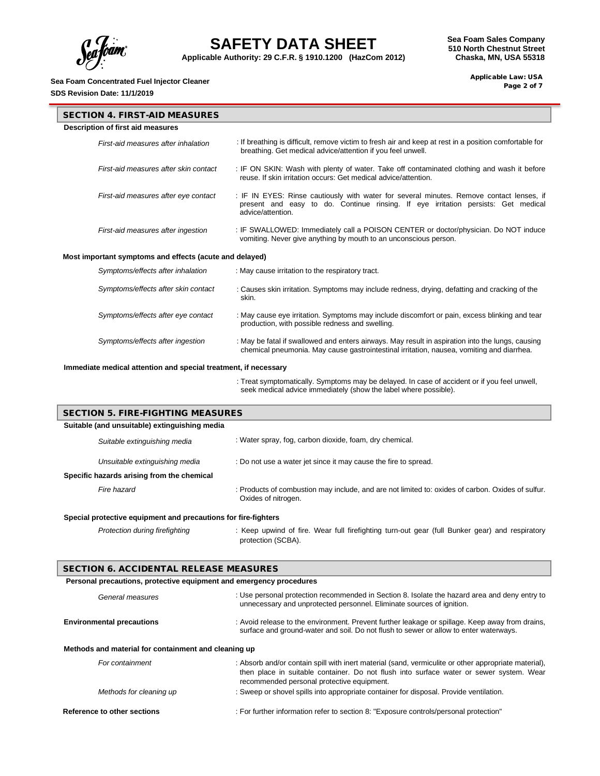

**Applicable Authority: 29 C.F.R. § 1910.1200 (HazCom 2012)**

## **Sea Foam Concentrated Fuel Injector Cleaner**

**SDS Revision Date: 11/1/2019**

 Applicable Law: USA Page 2 of 7

| <b>SECTION 4. FIRST-AID MEASURES</b>                    |                                                                                                                                                                                                    |
|---------------------------------------------------------|----------------------------------------------------------------------------------------------------------------------------------------------------------------------------------------------------|
| Description of first aid measures                       |                                                                                                                                                                                                    |
| First-aid measures after inhalation                     | : If breathing is difficult, remove victim to fresh air and keep at rest in a position comfortable for<br>breathing. Get medical advice/attention if you feel unwell.                              |
| First-aid measures after skin contact                   | : IF ON SKIN: Wash with plenty of water. Take off contaminated clothing and wash it before<br>reuse. If skin irritation occurs: Get medical advice/attention.                                      |
| First-aid measures after eye contact                    | : IF IN EYES: Rinse cautiously with water for several minutes. Remove contact lenses, if<br>present and easy to do. Continue rinsing. If eye irritation persists: Get medical<br>advice/attention. |
| First-aid measures after ingestion                      | : IF SWALLOWED: Immediately call a POISON CENTER or doctor/physician. Do NOT induce<br>vomiting. Never give anything by mouth to an unconscious person.                                            |
| Most important symptoms and effects (acute and delayed) |                                                                                                                                                                                                    |
| Symptoms/effects after inhalation                       | : May cause irritation to the respiratory tract.                                                                                                                                                   |
| Symptoms/effects after skin contact                     | : Causes skin irritation. Symptoms may include redness, drying, defatting and cracking of the<br>skin.                                                                                             |
| Symptoms/effects after eye contact                      | : May cause eye irritation. Symptoms may include discomfort or pain, excess blinking and tear<br>production, with possible redness and swelling.                                                   |
| Symptoms/effects after ingestion                        | : May be fatal if swallowed and enters airways. May result in aspiration into the lungs, causing<br>chemical pneumonia. May cause gastrointestinal irritation, nausea, vomiting and diarrhea.      |

#### **Immediate medical attention and special treatment, if necessary**

: Treat symptomatically. Symptoms may be delayed. In case of accident or if you feel unwell, seek medical advice immediately (show the label where possible).

| <b>SECTION 5. FIRE-FIGHTING MEASURES</b>      |                                                                                                                          |  |
|-----------------------------------------------|--------------------------------------------------------------------------------------------------------------------------|--|
| Suitable (and unsuitable) extinguishing media |                                                                                                                          |  |
| Suitable extinguishing media                  | : Water spray, fog, carbon dioxide, foam, dry chemical.                                                                  |  |
| Unsuitable extinguishing media                | : Do not use a water jet since it may cause the fire to spread.                                                          |  |
| Specific hazards arising from the chemical    |                                                                                                                          |  |
| Fire hazard                                   | : Products of combustion may include, and are not limited to: oxides of carbon. Oxides of sulfur.<br>Oxides of nitrogen. |  |

### **Special protective equipment and precautions for fire-fighters**

*Protection during firefighting* : Keep upwind of fire. Wear full firefighting turn-out gear (full Bunker gear) and respiratory protection (SCBA).

#### SECTION 6. ACCIDENTAL RELEASE MEASURES

**Personal precautions, protective equipment and emergency procedures**

| relation precaduolis, protective equipment and emergency procedures |                                                                                                                                                                                                 |
|---------------------------------------------------------------------|-------------------------------------------------------------------------------------------------------------------------------------------------------------------------------------------------|
| General measures                                                    | : Use personal protection recommended in Section 8. Isolate the hazard area and deny entry to<br>unnecessary and unprotected personnel. Eliminate sources of ignition.                          |
| <b>Environmental precautions</b>                                    | : Avoid release to the environment. Prevent further leakage or spillage. Keep away from drains,<br>surface and ground-water and soil. Do not flush to sewer or allow to enter waterways.        |
| Methods and material for containment and cleaning up                |                                                                                                                                                                                                 |
| For containment                                                     | : Absorb and/or contain spill with inert material (sand, vermiculite or other appropriate material),<br>then place in suitable container. Do not flush into surface water or sewer system. Wear |

|                         | their place in suitable container. Do not husit little suitace water or sewer system. We |
|-------------------------|------------------------------------------------------------------------------------------|
|                         | recommended personal protective equipment.                                               |
| Methods for cleaning up | : Sweep or shovel spills into appropriate container for disposal. Provide ventilation.   |
|                         |                                                                                          |

### **Reference to other sections** : For further information refer to section 8: "Exposure controls/personal protection"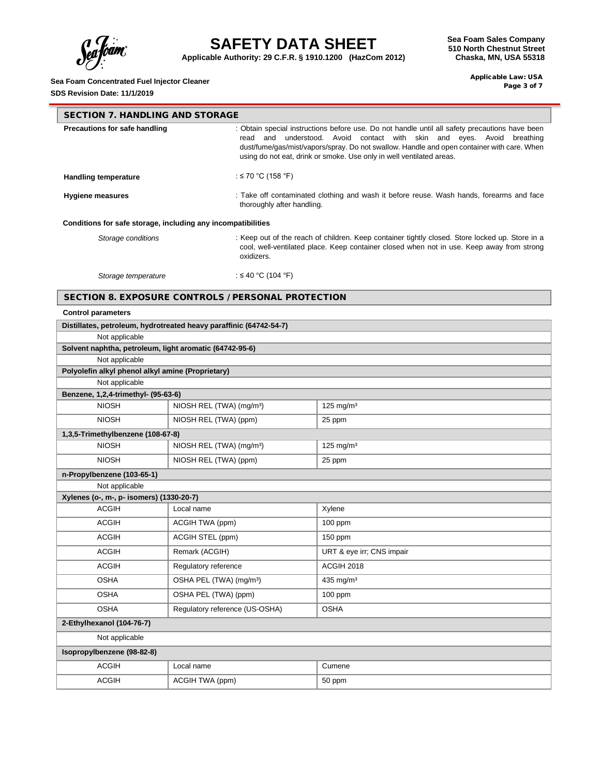

**Applicable Authority: 29 C.F.R. § 1910.1200 (HazCom 2012)**

**Sea Foam Sales Company 510 North Chestnut Street Chaska, MN, USA 55318**

## **Sea Foam Concentrated Fuel Injector Cleaner**

**SDS Revision Date: 11/1/2019**

 Applicable Law: USA Page 3 of 7

| <b>SECTION 7. HANDLING AND STORAGE</b>                       |                                                                                                                                                                                                                                                                                                                                                      |  |  |
|--------------------------------------------------------------|------------------------------------------------------------------------------------------------------------------------------------------------------------------------------------------------------------------------------------------------------------------------------------------------------------------------------------------------------|--|--|
| Precautions for safe handling                                | : Obtain special instructions before use. Do not handle until all safety precautions have been<br>and understood. Avoid contact with skin and eyes. Avoid<br>read<br>breathing<br>dust/fume/gas/mist/vapors/spray. Do not swallow. Handle and open container with care. When<br>using do not eat, drink or smoke. Use only in well ventilated areas. |  |  |
| <b>Handling temperature</b>                                  | : ≤ 70 °C (158 °F)                                                                                                                                                                                                                                                                                                                                   |  |  |
| <b>Hygiene measures</b>                                      | : Take off contaminated clothing and wash it before reuse. Wash hands, forearms and face<br>thoroughly after handling.                                                                                                                                                                                                                               |  |  |
| Conditions for safe storage, including any incompatibilities |                                                                                                                                                                                                                                                                                                                                                      |  |  |
| Storage conditions                                           | : Keep out of the reach of children. Keep container tightly closed. Store locked up. Store in a<br>cool, well-ventilated place. Keep container closed when not in use. Keep away from strong<br>oxidizers.                                                                                                                                           |  |  |
| Storage temperature                                          | : ≤ 40 °C (104 °F)                                                                                                                                                                                                                                                                                                                                   |  |  |

### SECTION 8. EXPOSURE CONTROLS / PERSONAL PROTECTION

### **Control parameters**

| Distillates, petroleum, hydrotreated heavy paraffinic (64742-54-7) |                                      |                           |
|--------------------------------------------------------------------|--------------------------------------|---------------------------|
| Not applicable                                                     |                                      |                           |
| Solvent naphtha, petroleum, light aromatic (64742-95-6)            |                                      |                           |
| Not applicable                                                     |                                      |                           |
| Polyolefin alkyl phenol alkyl amine (Proprietary)                  |                                      |                           |
| Not applicable                                                     |                                      |                           |
| Benzene, 1,2,4-trimethyl- (95-63-6)                                |                                      |                           |
| <b>NIOSH</b>                                                       | NIOSH REL (TWA) (mg/m <sup>3</sup> ) | $125$ mg/m <sup>3</sup>   |
| <b>NIOSH</b>                                                       | NIOSH REL (TWA) (ppm)                | 25 ppm                    |
| 1,3,5-Trimethylbenzene (108-67-8)                                  |                                      |                           |
| <b>NIOSH</b>                                                       | NIOSH REL (TWA) (mg/m <sup>3</sup> ) | 125 mg/m $3$              |
| <b>NIOSH</b>                                                       | NIOSH REL (TWA) (ppm)                | 25 ppm                    |
| n-Propylbenzene (103-65-1)                                         |                                      |                           |
| Not applicable                                                     |                                      |                           |
| Xylenes (o-, m-, p- isomers) (1330-20-7)                           |                                      |                           |
| <b>ACGIH</b>                                                       | Local name                           | Xylene                    |
| <b>ACGIH</b>                                                       | ACGIH TWA (ppm)                      | 100 ppm                   |
| <b>ACGIH</b>                                                       | ACGIH STEL (ppm)                     | $150$ ppm                 |
| <b>ACGIH</b>                                                       | Remark (ACGIH)                       | URT & eye irr; CNS impair |
| <b>ACGIH</b>                                                       | Regulatory reference                 | <b>ACGIH 2018</b>         |
| <b>OSHA</b>                                                        | OSHA PEL (TWA) (mg/m <sup>3</sup> )  | 435 mg/m <sup>3</sup>     |
| <b>OSHA</b>                                                        | OSHA PEL (TWA) (ppm)                 | 100 ppm                   |
| <b>OSHA</b>                                                        | Regulatory reference (US-OSHA)       | <b>OSHA</b>               |
| 2-Ethylhexanol (104-76-7)                                          |                                      |                           |
| Not applicable                                                     |                                      |                           |
| Isopropylbenzene (98-82-8)                                         |                                      |                           |
| <b>ACGIH</b>                                                       | Local name                           | Cumene                    |
| <b>ACGIH</b>                                                       | ACGIH TWA (ppm)                      | 50 ppm                    |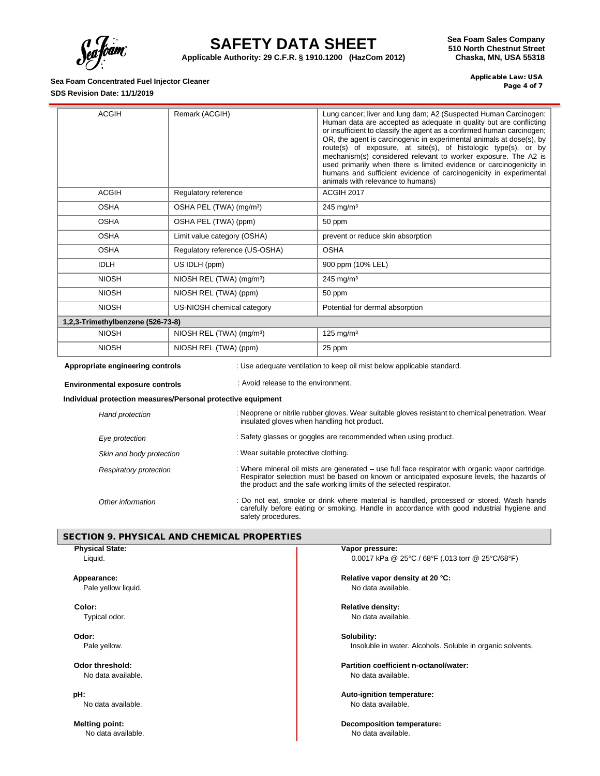

۰

# **SAFETY DATA SHEET**

**Applicable Authority: 29 C.F.R. § 1910.1200 (HazCom 2012)**

**Sea Foam Sales Company 510 North Chestnut Street Chaska, MN, USA 55318**

### **Sea Foam Concentrated Fuel Injector Cleaner SDS Revision Date: 11/1/2019**

 Applicable Law: USA Page 4 of 7

| <b>ACGIH</b>                                                                                               | Remark (ACGIH)                       | Lung cancer; liver and lung dam; A2 (Suspected Human Carcinogen:<br>Human data are accepted as adequate in quality but are conflicting<br>or insufficient to classify the agent as a confirmed human carcinogen;<br>OR, the agent is carcinogenic in experimental animals at dose(s), by<br>route(s) of exposure, at site(s), of histologic type(s), or by<br>mechanism(s) considered relevant to worker exposure. The A2 is<br>used primarily when there is limited evidence or carcinogenicity in<br>humans and sufficient evidence of carcinogenicity in experimental<br>animals with relevance to humans) |
|------------------------------------------------------------------------------------------------------------|--------------------------------------|---------------------------------------------------------------------------------------------------------------------------------------------------------------------------------------------------------------------------------------------------------------------------------------------------------------------------------------------------------------------------------------------------------------------------------------------------------------------------------------------------------------------------------------------------------------------------------------------------------------|
| <b>ACGIH</b>                                                                                               | Regulatory reference                 | ACGIH 2017                                                                                                                                                                                                                                                                                                                                                                                                                                                                                                                                                                                                    |
| <b>OSHA</b>                                                                                                | OSHA PEL (TWA) (mg/m <sup>3</sup> )  | $245$ mg/m <sup>3</sup>                                                                                                                                                                                                                                                                                                                                                                                                                                                                                                                                                                                       |
| <b>OSHA</b>                                                                                                | OSHA PEL (TWA) (ppm)                 | 50 ppm                                                                                                                                                                                                                                                                                                                                                                                                                                                                                                                                                                                                        |
| <b>OSHA</b>                                                                                                | Limit value category (OSHA)          | prevent or reduce skin absorption                                                                                                                                                                                                                                                                                                                                                                                                                                                                                                                                                                             |
| <b>OSHA</b>                                                                                                | Regulatory reference (US-OSHA)       | <b>OSHA</b>                                                                                                                                                                                                                                                                                                                                                                                                                                                                                                                                                                                                   |
| <b>IDLH</b>                                                                                                | US IDLH (ppm)                        | 900 ppm (10% LEL)                                                                                                                                                                                                                                                                                                                                                                                                                                                                                                                                                                                             |
| <b>NIOSH</b>                                                                                               | NIOSH REL (TWA) (mg/m <sup>3</sup> ) | $245$ mg/m <sup>3</sup>                                                                                                                                                                                                                                                                                                                                                                                                                                                                                                                                                                                       |
| <b>NIOSH</b>                                                                                               | NIOSH REL (TWA) (ppm)                | 50 ppm                                                                                                                                                                                                                                                                                                                                                                                                                                                                                                                                                                                                        |
| <b>NIOSH</b>                                                                                               | US-NIOSH chemical category           | Potential for dermal absorption                                                                                                                                                                                                                                                                                                                                                                                                                                                                                                                                                                               |
| 1,2,3-Trimethylbenzene (526-73-8)                                                                          |                                      |                                                                                                                                                                                                                                                                                                                                                                                                                                                                                                                                                                                                               |
| <b>NIOSH</b>                                                                                               | NIOSH REL (TWA) (mg/m <sup>3</sup> ) | 125 mg/m $3$                                                                                                                                                                                                                                                                                                                                                                                                                                                                                                                                                                                                  |
| <b>NIOSH</b>                                                                                               | NIOSH REL (TWA) (ppm)                | 25 ppm                                                                                                                                                                                                                                                                                                                                                                                                                                                                                                                                                                                                        |
| Appropriate engineering controls<br>: Use adequate ventilation to keep oil mist below applicable standard. |                                      |                                                                                                                                                                                                                                                                                                                                                                                                                                                                                                                                                                                                               |

**Environmental exposure controls** : Avoid release to the environment.

## **Individual protection measures/Personal protective equipment**

| Hand protection          | : Neoprene or nitrile rubber gloves. Wear suitable gloves resistant to chemical penetration. Wear<br>insulated gloves when handling hot product.                                                                                                                      |
|--------------------------|-----------------------------------------------------------------------------------------------------------------------------------------------------------------------------------------------------------------------------------------------------------------------|
| Eye protection           | : Safety glasses or goggles are recommended when using product.                                                                                                                                                                                                       |
| Skin and body protection | : Wear suitable protective clothing.                                                                                                                                                                                                                                  |
| Respiratory protection   | : Where mineral oil mists are generated – use full face respirator with organic vapor cartridge.<br>Respirator selection must be based on known or anticipated exposure levels, the hazards of<br>the product and the safe working limits of the selected respirator. |
| Other information        | : Do not eat, smoke or drink where material is handled, processed or stored. Wash hands<br>carefully before eating or smoking. Handle in accordance with good industrial hygiene and<br>safety procedures.                                                            |

### SECTION 9. PHYSICAL AND CHEMICAL PROPERTIES

| Vapor pressure:                                            |
|------------------------------------------------------------|
| 0.0017 kPa @ 25°C / 68°F (.013 torr @ 25°C/68°F)           |
| Relative vapor density at 20 °C:                           |
| No data available.                                         |
| <b>Relative density:</b>                                   |
| No data available.                                         |
| Solubility:                                                |
| Insoluble in water. Alcohols. Soluble in organic solvents. |
| Partition coefficient n-octanol/water:                     |
| No data available.                                         |
| Auto-ignition temperature:                                 |
| No data available.                                         |
| <b>Decomposition temperature:</b>                          |
| No data available.                                         |
|                                                            |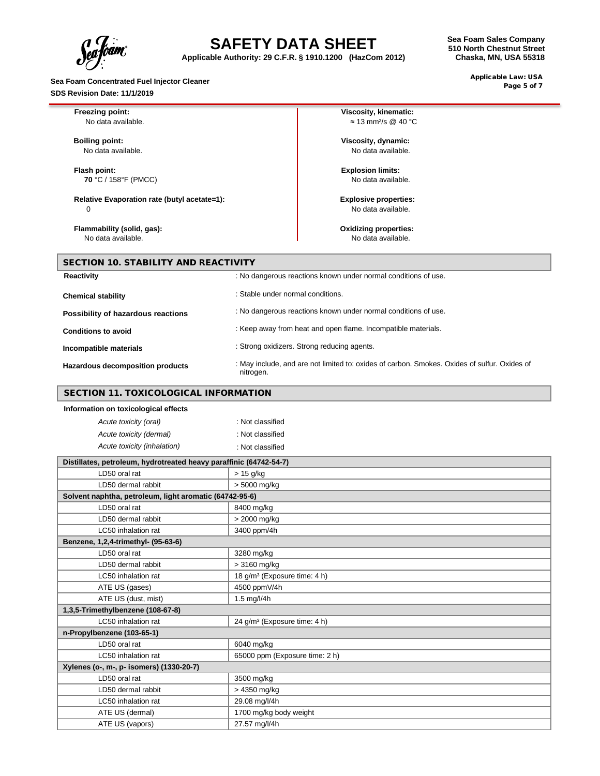ram".

**Applicable Authority: 29 C.F.R. § 1910.1200 (HazCom 2012)**

**Sea Foam Concentrated Fuel Injector Cleaner SDS Revision Date: 11/1/2019**

 Applicable Law: USA Page 5 of 7

| Freezing point:                                                    |                                   | Viscosity, kinematic:                                                                        |
|--------------------------------------------------------------------|-----------------------------------|----------------------------------------------------------------------------------------------|
| No data available.                                                 |                                   | $\approx$ 13 mm <sup>2</sup> /s @ 40 °C                                                      |
|                                                                    |                                   |                                                                                              |
| <b>Boiling point:</b>                                              |                                   | Viscosity, dynamic:<br>No data available.                                                    |
| No data available.                                                 |                                   |                                                                                              |
| Flash point:                                                       |                                   | <b>Explosion limits:</b>                                                                     |
| 70 °C / 158°F (PMCC)                                               |                                   | No data available.                                                                           |
|                                                                    |                                   |                                                                                              |
| Relative Evaporation rate (butyl acetate=1):                       |                                   | <b>Explosive properties:</b>                                                                 |
| $\Omega$                                                           |                                   | No data available.                                                                           |
| Flammability (solid, gas):                                         |                                   | <b>Oxidizing properties:</b>                                                                 |
| No data available.                                                 |                                   | No data available.                                                                           |
|                                                                    |                                   |                                                                                              |
| <b>SECTION 10. STABILITY AND REACTIVITY</b>                        |                                   |                                                                                              |
| <b>Reactivity</b>                                                  |                                   | : No dangerous reactions known under normal conditions of use.                               |
| <b>Chemical stability</b>                                          | : Stable under normal conditions. |                                                                                              |
| Possibility of hazardous reactions                                 |                                   | : No dangerous reactions known under normal conditions of use.                               |
| <b>Conditions to avoid</b>                                         |                                   | : Keep away from heat and open flame. Incompatible materials.                                |
| Incompatible materials                                             |                                   | : Strong oxidizers. Strong reducing agents.                                                  |
| Hazardous decomposition products                                   | nitrogen.                         | : May include, and are not limited to: oxides of carbon. Smokes. Oxides of sulfur. Oxides of |
| <b>SECTION 11. TOXICOLOGICAL INFORMATION</b>                       |                                   |                                                                                              |
| Information on toxicological effects                               |                                   |                                                                                              |
| Acute toxicity (oral)                                              | : Not classified                  |                                                                                              |
| Acute toxicity (dermal)                                            | : Not classified                  |                                                                                              |
| Acute toxicity (inhalation)                                        | : Not classified                  |                                                                                              |
| Distillates, petroleum, hydrotreated heavy paraffinic (64742-54-7) |                                   |                                                                                              |
| LD50 oral rat                                                      | $> 15$ g/kg                       |                                                                                              |
| LD50 dermal rabbit                                                 | > 5000 mg/kg                      |                                                                                              |
| Solvent naphtha, petroleum, light aromatic (64742-95-6)            |                                   |                                                                                              |
| LD50 oral rat                                                      | 8400 mg/kg                        |                                                                                              |
| LD50 dermal rabbit                                                 | > 2000 mg/kg                      |                                                                                              |
| LC50 inhalation rat                                                | 3400 ppm/4h                       |                                                                                              |

| Benzene, 1,2,4-trimethyl- (95-63-6)      |                                          |
|------------------------------------------|------------------------------------------|
| LD50 oral rat                            | 3280 mg/kg                               |
| LD50 dermal rabbit                       | $>$ 3160 mg/kg                           |
| LC50 inhalation rat                      | 18 g/m <sup>3</sup> (Exposure time: 4 h) |
| ATE US (gases)                           | 4500 ppmV/4h                             |
| ATE US (dust, mist)                      | $1.5$ mg/l/4h                            |
| 1,3,5-Trimethylbenzene (108-67-8)        |                                          |
| LC50 inhalation rat                      | 24 g/m <sup>3</sup> (Exposure time: 4 h) |
| n-Propylbenzene (103-65-1)               |                                          |
| LD50 oral rat                            | 6040 mg/kg                               |
| LC50 inhalation rat                      | 65000 ppm (Exposure time: 2 h)           |
| Xylenes (o-, m-, p- isomers) (1330-20-7) |                                          |
| LD50 oral rat                            | 3500 mg/kg                               |
| LD50 dermal rabbit                       | > 4350 mg/kg                             |
| LC50 inhalation rat                      | 29.08 mg/l/4h                            |
| ATE US (dermal)                          | 1700 mg/kg body weight                   |
| ATE US (vapors)                          | 27.57 mg/l/4h                            |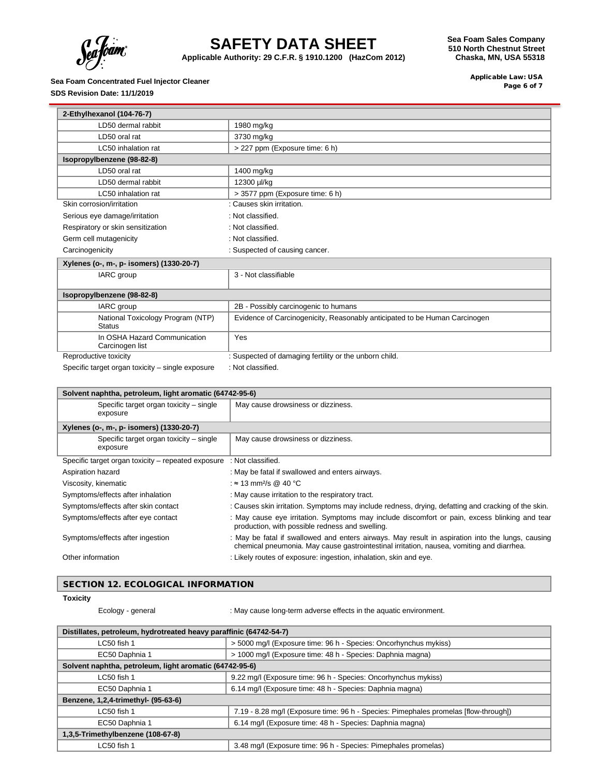

**Applicable Authority: 29 C.F.R. § 1910.1200 (HazCom 2012)**

### **Sea Foam Concentrated Fuel Injector Cleaner**

**SDS Revision Date: 11/1/2019**

**Sea Foam Sales Company 510 North Chestnut Street Chaska, MN, USA 55318**

> Applicable Law: USA Page 6 of 7

| 2-Ethylhexanol (104-76-7)                          |                                                                            |  |
|----------------------------------------------------|----------------------------------------------------------------------------|--|
| LD50 dermal rabbit                                 | 1980 mg/kg                                                                 |  |
| LD50 oral rat                                      | 3730 mg/kg                                                                 |  |
| LC50 inhalation rat                                | > 227 ppm (Exposure time: 6 h)                                             |  |
| Isopropylbenzene (98-82-8)                         |                                                                            |  |
| LD50 oral rat                                      | 1400 mg/kg                                                                 |  |
| LD50 dermal rabbit                                 | 12300 µl/kg                                                                |  |
| LC50 inhalation rat                                | > 3577 ppm (Exposure time: 6 h)                                            |  |
| Skin corrosion/irritation                          | : Causes skin irritation.                                                  |  |
| Serious eye damage/irritation                      | : Not classified.                                                          |  |
| Respiratory or skin sensitization                  | : Not classified.                                                          |  |
| Germ cell mutagenicity                             | : Not classified.                                                          |  |
| Carcinogenicity                                    | : Suspected of causing cancer.                                             |  |
| Xylenes (o-, m-, p- isomers) (1330-20-7)           |                                                                            |  |
| IARC group                                         | 3 - Not classifiable                                                       |  |
| Isopropylbenzene (98-82-8)                         |                                                                            |  |
| IARC group                                         | 2B - Possibly carcinogenic to humans                                       |  |
| National Toxicology Program (NTP)<br><b>Status</b> | Evidence of Carcinogenicity, Reasonably anticipated to be Human Carcinogen |  |
| In OSHA Hazard Communication<br>Carcinogen list    | Yes                                                                        |  |
| Reproductive toxicity                              | : Suspected of damaging fertility or the unborn child.                     |  |
| Specific target organ toxicity – single exposure   | : Not classified.                                                          |  |

| Solvent naphtha, petroleum, light aromatic (64742-95-6) |                                                                                                                                                                                               |  |
|---------------------------------------------------------|-----------------------------------------------------------------------------------------------------------------------------------------------------------------------------------------------|--|
| Specific target organ toxicity – single<br>exposure     | May cause drowsiness or dizziness.                                                                                                                                                            |  |
| Xylenes (o-, m-, p- isomers) (1330-20-7)                |                                                                                                                                                                                               |  |
| Specific target organ toxicity - single<br>exposure     | May cause drowsiness or dizziness.                                                                                                                                                            |  |
| Specific target organ toxicity – repeated exposure      | : Not classified.                                                                                                                                                                             |  |
| Aspiration hazard                                       | : May be fatal if swallowed and enters airways.                                                                                                                                               |  |
| Viscosity, kinematic                                    | : $\approx$ 13 mm <sup>2</sup> /s @ 40 °C                                                                                                                                                     |  |
| Symptoms/effects after inhalation                       | : May cause irritation to the respiratory tract.                                                                                                                                              |  |
| Symptoms/effects after skin contact                     | : Causes skin irritation. Symptoms may include redness, drying, defatting and cracking of the skin.                                                                                           |  |
| Symptoms/effects after eye contact                      | : May cause eye irritation. Symptoms may include discomfort or pain, excess blinking and tear<br>production, with possible redness and swelling.                                              |  |
| Symptoms/effects after ingestion                        | : May be fatal if swallowed and enters airways. May result in aspiration into the lungs, causing<br>chemical pneumonia. May cause gastrointestinal irritation, nausea, vomiting and diarrhea. |  |
| Other information                                       | : Likely routes of exposure: ingestion, inhalation, skin and eye.                                                                                                                             |  |

### SECTION 12. ECOLOGICAL INFORMATION

**Toxicity**

Ecology - general **Ecology** -  $\blacksquare$ : May cause long-term adverse effects in the aquatic environment.

| Distillates, petroleum, hydrotreated heavy paraffinic (64742-54-7) |                                                                                      |  |
|--------------------------------------------------------------------|--------------------------------------------------------------------------------------|--|
| LC50 fish 1                                                        | > 5000 mg/l (Exposure time: 96 h - Species: Oncorhynchus mykiss)                     |  |
| EC50 Daphnia 1                                                     | > 1000 mg/l (Exposure time: 48 h - Species: Daphnia magna)                           |  |
| Solvent naphtha, petroleum, light aromatic (64742-95-6)            |                                                                                      |  |
| LC50 fish 1                                                        | 9.22 mg/l (Exposure time: 96 h - Species: Oncorhynchus mykiss)                       |  |
| EC50 Daphnia 1                                                     | 6.14 mg/l (Exposure time: 48 h - Species: Daphnia magna)                             |  |
| Benzene, 1,2,4-trimethyl- (95-63-6)                                |                                                                                      |  |
| LC50 fish 1                                                        | 7.19 - 8.28 mg/l (Exposure time: 96 h - Species: Pimephales promelas [flow-through]) |  |
| EC50 Daphnia 1                                                     | 6.14 mg/l (Exposure time: 48 h - Species: Daphnia magna)                             |  |
| 1,3,5-Trimethylbenzene (108-67-8)                                  |                                                                                      |  |
| LC50 fish 1                                                        | 3.48 mg/l (Exposure time: 96 h - Species: Pimephales promelas)                       |  |